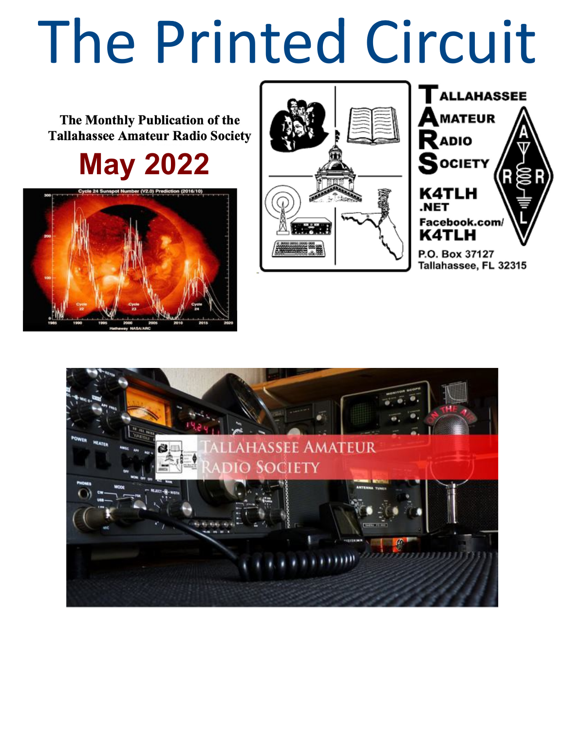# The Printed Circuit

The Monthly Publication of the **Tallahassee Amateur Radio Society** 

**May 2022**





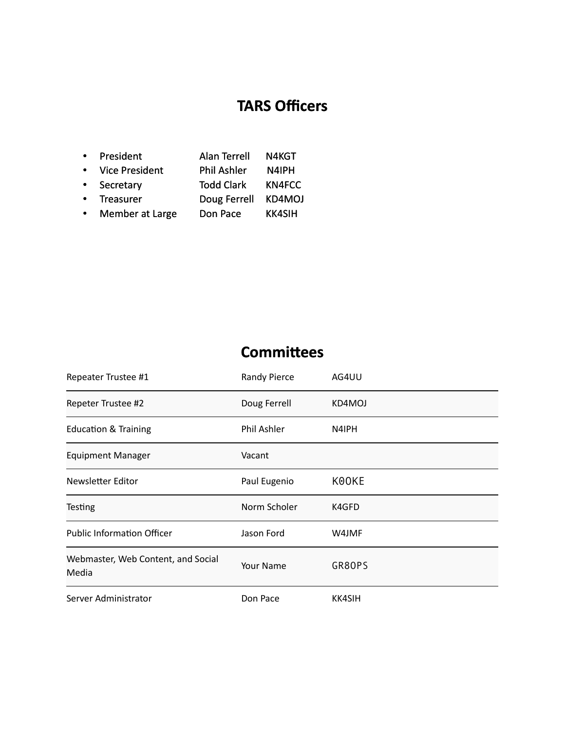# **TARS Officers**

| $\bullet$ | President             | <b>Alan Terrell</b> | N4KGT         |
|-----------|-----------------------|---------------------|---------------|
| $\bullet$ | <b>Vice President</b> | <b>Phil Ashler</b>  | N4IPH         |
| $\bullet$ | Secretary             | <b>Todd Clark</b>   | <b>KN4FCC</b> |
| $\bullet$ | Treasurer             | Doug Ferrell        | KD4MOJ        |
| $\bullet$ | Member at Large       | Don Pace            | <b>KK4SIH</b> |

# **Committees**

| Repeater Trustee #1                         | <b>Randy Pierce</b> | AG4UU         |
|---------------------------------------------|---------------------|---------------|
| Repeter Trustee #2                          | Doug Ferrell        | KD4MOJ        |
| <b>Education &amp; Training</b>             | Phil Ashler         | N4IPH         |
| <b>Equipment Manager</b>                    | Vacant              |               |
| Newsletter Editor                           | Paul Eugenio        | K00KE         |
| <b>Testing</b>                              | Norm Scholer        | K4GFD         |
| <b>Public Information Officer</b>           | Jason Ford          | W4JMF         |
| Webmaster, Web Content, and Social<br>Media | Your Name           | GR80PS        |
| Server Administrator                        | Don Pace            | <b>KK4SIH</b> |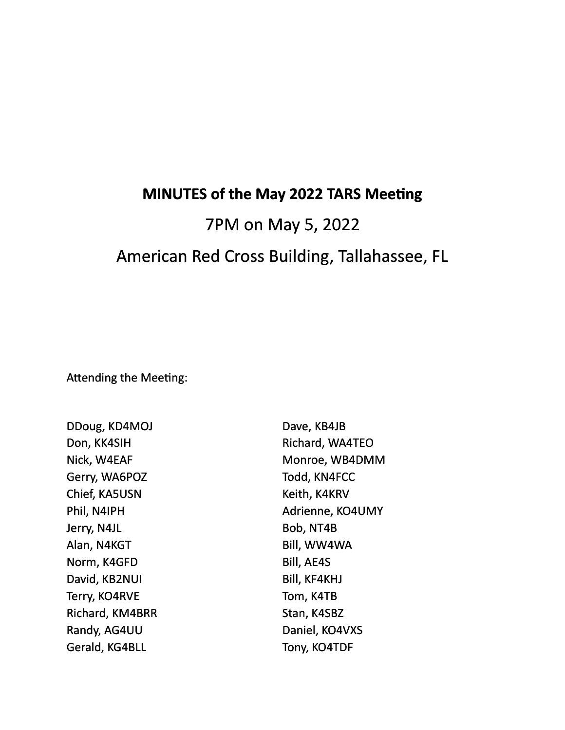## **MINUTES of the May 2022 TARS Meeting**

# 7PM on May 5, 2022 American Red Cross Building, Tallahassee, FL

Attending the Meeting:

DDoug, KD4MOJ Don, KK4SIH Nick, W4EAF Gerry, WA6POZ Chief, KA5USN Phil, N4IPH Jerry, N4JL Alan, N4KGT Norm, K4GFD David, KB2NUI Terry, KO4RVE Richard, KM4BRR Randy, AG4UU Gerald, KG4BLL

Dave, KB4JB Richard, WA4TEO Monroe, WB4DMM Todd, KN4FCC Keith, K4KRV Adrienne, KO4UMY Bob, NT4B Bill, WW4WA Bill, AE4S Bill, KF4KHJ Tom, K4TB Stan, K4SBZ Daniel, KO4VXS Tony, KO4TDF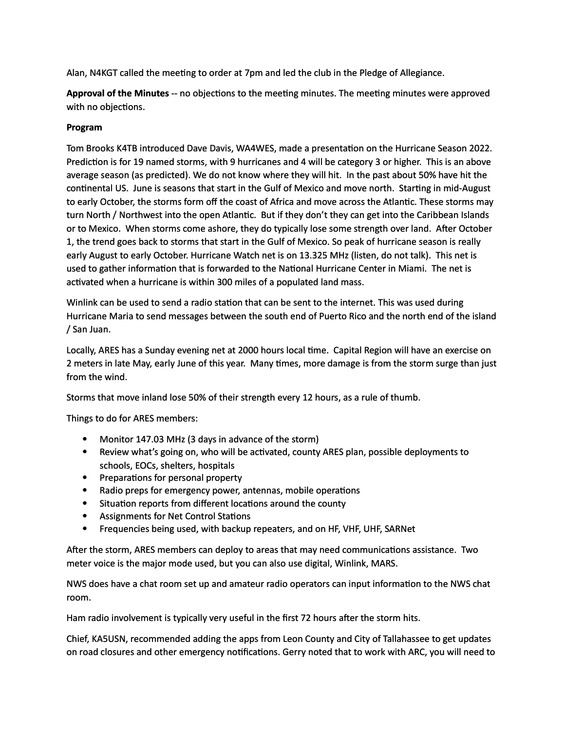Alan, N4KGT called the meeting to order at 7pm and led the club in the Pledge of Allegiance.

Approval of the Minutes -- no objections to the meeting minutes. The meeting minutes were approved with no objections.

#### **Program**

Tom Brooks K4TB introduced Dave Davis, WA4WES, made a presentation on the Hurricane Season 2022. Prediction is for 19 named storms, with 9 hurricanes and 4 will be category 3 or higher. This is an above average season (as predicted). We do not know where they will hit. In the past about 50% have hit the continental US. June is seasons that start in the Gulf of Mexico and move north. Starting in mid-August to early October, the storms form off the coast of Africa and move across the Atlantic. These storms may turn North / Northwest into the open Atlantic. But if they don't they can get into the Caribbean Islands or to Mexico. When storms come ashore, they do typically lose some strength over land. After October 1, the trend goes back to storms that start in the Gulf of Mexico. So peak of hurricane season is really early August to early October. Hurricane Watch net is on 13.325 MHz (listen, do not talk). This net is used to gather information that is forwarded to the National Hurricane Center in Miami. The net is activated when a hurricane is within 300 miles of a populated land mass.

Winlink can be used to send a radio station that can be sent to the internet. This was used during Hurricane Maria to send messages between the south end of Puerto Rico and the north end of the island / San Juan. 

Locally, ARES has a Sunday evening net at 2000 hours local time. Capital Region will have an exercise on 2 meters in late May, early June of this year. Many times, more damage is from the storm surge than just from the wind.

Storms that move inland lose 50% of their strength every 12 hours, as a rule of thumb.

Things to do for ARES members:

- Monitor 147.03 MHz (3 days in advance of the storm)
- Review what's going on, who will be activated, county ARES plan, possible deployments to schools, EOCs, shelters, hospitals
- Preparations for personal property
- Radio preps for emergency power, antennas, mobile operations
- Situation reports from different locations around the county
- Assignments for Net Control Stations
- Frequencies being used, with backup repeaters, and on HF, VHF, UHF, SARNet

After the storm, ARES members can deploy to areas that may need communications assistance. Two meter voice is the major mode used, but you can also use digital, Winlink, MARS.

NWS does have a chat room set up and amateur radio operators can input information to the NWS chat room.

Ham radio involvement is typically very useful in the first 72 hours after the storm hits.

Chief, KA5USN, recommended adding the apps from Leon County and City of Tallahassee to get updates on road closures and other emergency notifications. Gerry noted that to work with ARC, you will need to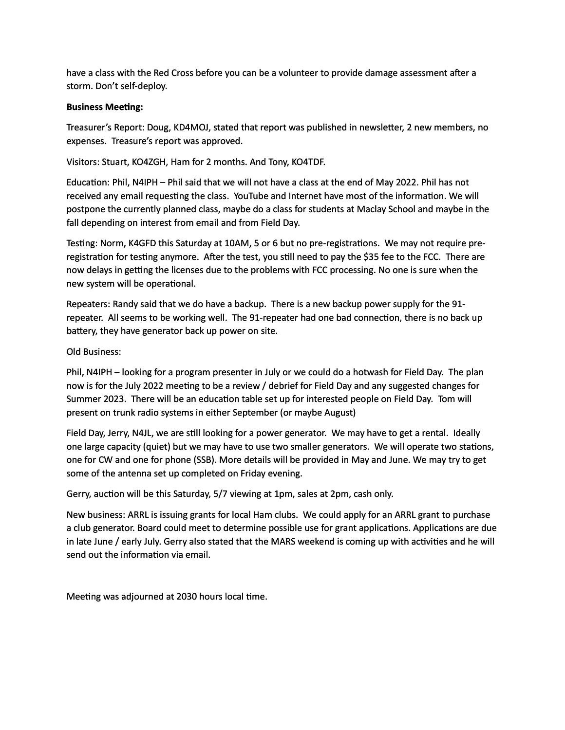have a class with the Red Cross before you can be a volunteer to provide damage assessment after a storm. Don't self-deploy.

#### **Business Meeting:**

Treasurer's Report: Doug, KD4MOJ, stated that report was published in newsletter, 2 new members, no expenses. Treasure's report was approved.

Visitors: Stuart, KO4ZGH, Ham for 2 months. And Tony, KO4TDF.

Education: Phil, N4IPH - Phil said that we will not have a class at the end of May 2022. Phil has not received any email requesting the class. YouTube and Internet have most of the information. We will postpone the currently planned class, maybe do a class for students at Maclay School and maybe in the fall depending on interest from email and from Field Day.

Testing: Norm, K4GFD this Saturday at 10AM, 5 or 6 but no pre-registrations. We may not require preregistration for testing anymore. After the test, you still need to pay the \$35 fee to the FCC. There are now delays in getting the licenses due to the problems with FCC processing. No one is sure when the new system will be operational.

Repeaters: Randy said that we do have a backup. There is a new backup power supply for the 91repeater. All seems to be working well. The 91-repeater had one bad connection, there is no back up battery, they have generator back up power on site.

#### Old Business:

Phil, N4IPH – looking for a program presenter in July or we could do a hotwash for Field Day. The plan now is for the July 2022 meeting to be a review / debrief for Field Day and any suggested changes for Summer 2023. There will be an education table set up for interested people on Field Day. Tom will present on trunk radio systems in either September (or maybe August)

Field Day, Jerry, N4JL, we are still looking for a power generator. We may have to get a rental. Ideally one large capacity (quiet) but we may have to use two smaller generators. We will operate two stations, one for CW and one for phone (SSB). More details will be provided in May and June. We may try to get some of the antenna set up completed on Friday evening.

Gerry, auction will be this Saturday, 5/7 viewing at 1pm, sales at 2pm, cash only.

New business: ARRL is issuing grants for local Ham clubs. We could apply for an ARRL grant to purchase a club generator. Board could meet to determine possible use for grant applications. Applications are due in late June / early July. Gerry also stated that the MARS weekend is coming up with activities and he will send out the information via email.

Meeting was adjourned at 2030 hours local time.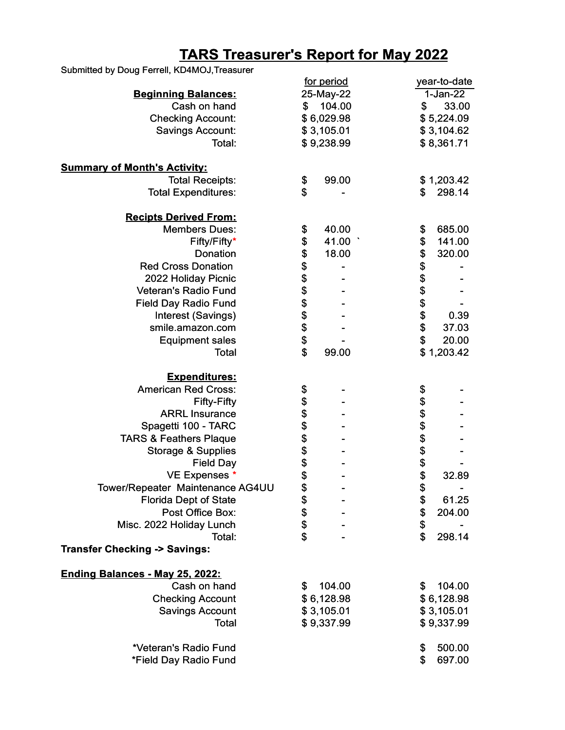### **TARS Treasurer's Report for May 2022**

| Submitted by Doug Ferrell, KD4MOJ, Treasurer |                        |                    |
|----------------------------------------------|------------------------|--------------------|
|                                              | for period             | year-to-date       |
| <b>Beginning Balances:</b>                   | 25-May-22              | $1-Jan-22$         |
| Cash on hand                                 | 104.00<br>$\mathbf{s}$ | \$<br>33.00        |
| <b>Checking Account:</b>                     | \$6,029.98             | \$5,224.09         |
| <b>Savings Account:</b>                      | \$3,105.01             | \$3,104.62         |
| Total:                                       | \$9,238.99             | \$8,361.71         |
|                                              |                        |                    |
| <b>Summary of Month's Activity:</b>          |                        |                    |
| <b>Total Receipts:</b>                       | 99.00<br>\$            | \$1,203.42         |
| <b>Total Expenditures:</b>                   | \$                     | 298.14<br>\$       |
|                                              |                        |                    |
| <b>Recipts Derived From:</b>                 |                        |                    |
| <b>Members Dues:</b>                         | 40.00<br>\$            | 685.00<br>\$       |
| Fifty/Fifty*                                 | 41.00<br>\$            | \$<br>141.00       |
| Donation                                     | 18.00                  | \$<br>320.00       |
| <b>Red Cross Donation</b>                    |                        |                    |
| 2022 Holiday Picnic                          |                        |                    |
| Veteran's Radio Fund                         |                        | \$\$\$\$\$         |
| <b>Field Day Radio Fund</b>                  |                        |                    |
| Interest (Savings)                           |                        | 0.39               |
|                                              |                        | \$                 |
| smile.amazon.com                             | <b>おおおおおおお</b>         | 37.03              |
| <b>Equipment sales</b>                       |                        | \$<br>20.00        |
| <b>Total</b>                                 | \$<br>99.00            | \$1,203.42         |
| <b>Expenditures:</b>                         |                        |                    |
| <b>American Red Cross:</b>                   | \$                     | \$                 |
| <b>Fifty-Fifty</b>                           |                        |                    |
| <b>ARRL Insurance</b>                        | \$\$\$\$\$\$\$\$       | \$\$\$\$\$\$\$     |
| Spagetti 100 - TARC                          |                        |                    |
|                                              |                        |                    |
| <b>TARS &amp; Feathers Plaque</b>            |                        |                    |
| Storage & Supplies                           |                        |                    |
| <b>Field Day</b>                             |                        |                    |
| VE Expenses *                                |                        | 32.89              |
| Tower/Repeater Maintenance AG4UU             |                        | \$                 |
| <b>Florida Dept of State</b>                 |                        | \$<br>61.25        |
| Post Office Box:                             |                        | \$<br>\$<br>204.00 |
| Misc. 2022 Holiday Lunch                     | \$\$\$\$\$             |                    |
| Total:                                       |                        | \$<br>298.14       |
| <b>Transfer Checking -&gt; Savings:</b>      |                        |                    |
| Ending Balances - May 25, 2022:              |                        |                    |
| Cash on hand                                 | \$<br>104.00           | \$<br>104.00       |
| <b>Checking Account</b>                      | \$6,128.98             | \$6,128.98         |
|                                              |                        |                    |
| <b>Savings Account</b>                       | \$3,105.01             | \$3,105.01         |
| <b>Total</b>                                 | \$9,337.99             | \$9,337.99         |
| *Veteran's Radio Fund                        |                        | \$<br>500.00       |
| *Field Day Radio Fund                        |                        | \$<br>697.00       |
|                                              |                        |                    |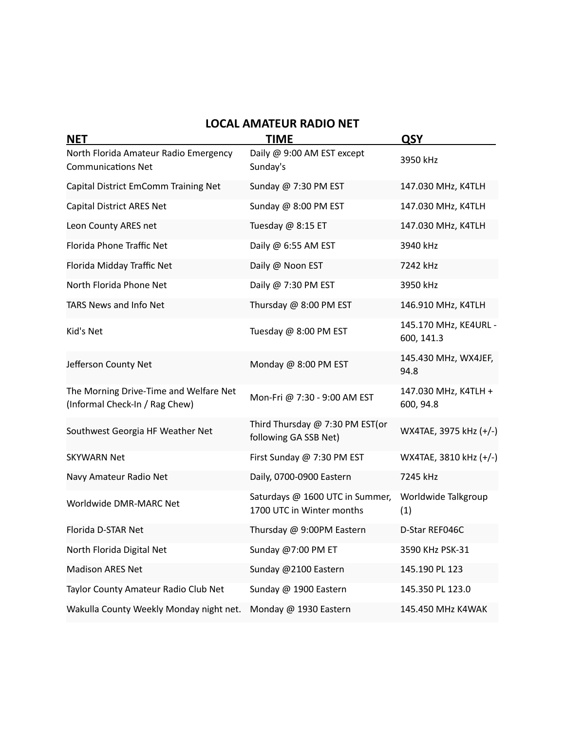| <b>LOCAL AMATEUR RADIO NET</b>                                           |                                                              |                                     |  |  |  |  |
|--------------------------------------------------------------------------|--------------------------------------------------------------|-------------------------------------|--|--|--|--|
| <b>NET</b>                                                               | <b>TIME</b>                                                  | QSY                                 |  |  |  |  |
| North Florida Amateur Radio Emergency<br><b>Communications Net</b>       | Daily @ 9:00 AM EST except<br>Sunday's                       | 3950 kHz                            |  |  |  |  |
| Capital District EmComm Training Net                                     | Sunday @ 7:30 PM EST                                         | 147.030 MHz, K4TLH                  |  |  |  |  |
| Capital District ARES Net                                                | Sunday @ 8:00 PM EST                                         | 147.030 MHz, K4TLH                  |  |  |  |  |
| Leon County ARES net                                                     | Tuesday @ 8:15 ET                                            | 147.030 MHz, K4TLH                  |  |  |  |  |
| Florida Phone Traffic Net                                                | Daily @ 6:55 AM EST                                          | 3940 kHz                            |  |  |  |  |
| Florida Midday Traffic Net                                               | Daily @ Noon EST                                             | 7242 kHz                            |  |  |  |  |
| North Florida Phone Net                                                  | Daily @ 7:30 PM EST                                          | 3950 kHz                            |  |  |  |  |
| TARS News and Info Net                                                   | Thursday @ 8:00 PM EST                                       | 146.910 MHz, K4TLH                  |  |  |  |  |
| Kid's Net                                                                | Tuesday @ 8:00 PM EST                                        | 145.170 MHz, KE4URL -<br>600, 141.3 |  |  |  |  |
| Jefferson County Net                                                     | Monday @ 8:00 PM EST                                         | 145.430 MHz, WX4JEF,<br>94.8        |  |  |  |  |
| The Morning Drive-Time and Welfare Net<br>(Informal Check-In / Rag Chew) | Mon-Fri @ 7:30 - 9:00 AM EST                                 | 147.030 MHz, K4TLH +<br>600, 94.8   |  |  |  |  |
| Southwest Georgia HF Weather Net                                         | Third Thursday @ 7:30 PM EST(or<br>following GA SSB Net)     | WX4TAE, 3975 kHz (+/-)              |  |  |  |  |
| <b>SKYWARN Net</b>                                                       | First Sunday @ 7:30 PM EST                                   | WX4TAE, 3810 kHz (+/-)              |  |  |  |  |
| Navy Amateur Radio Net                                                   | Daily, 0700-0900 Eastern                                     | 7245 kHz                            |  |  |  |  |
| Worldwide DMR-MARC Net                                                   | Saturdays @ 1600 UTC in Summer,<br>1700 UTC in Winter months | Worldwide Talkgroup<br>(1)          |  |  |  |  |
| Florida D-STAR Net                                                       | Thursday @ 9:00PM Eastern                                    | D-Star REF046C                      |  |  |  |  |
| North Florida Digital Net                                                | Sunday @7:00 PM ET                                           | 3590 KHz PSK-31                     |  |  |  |  |
| <b>Madison ARES Net</b>                                                  | Sunday @2100 Eastern                                         | 145.190 PL 123                      |  |  |  |  |
| Taylor County Amateur Radio Club Net                                     | Sunday @ 1900 Eastern                                        | 145.350 PL 123.0                    |  |  |  |  |
| Wakulla County Weekly Monday night net.                                  | Monday @ 1930 Eastern                                        | 145.450 MHz K4WAK                   |  |  |  |  |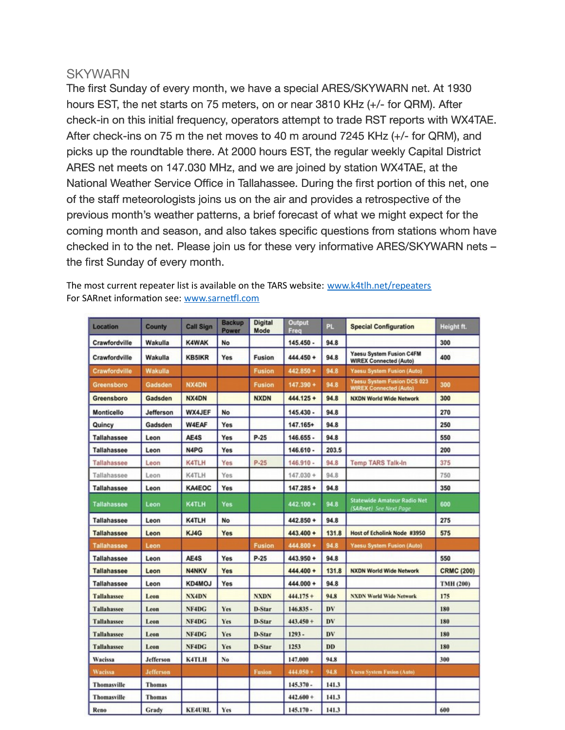#### **SKYWARN**

The first Sunday of every month, we have a special ARES/SKYWARN net. At 1930 hours EST, the net starts on 75 meters, on or near 3810 KHz (+/- for QRM). After check-in on this initial frequency, operators attempt to trade RST reports with WX4TAE. After check-ins on 75 m the net moves to 40 m around 7245 KHz (+/- for QRM), and picks up the roundtable there. At 2000 hours EST, the regular weekly Capital District ARES net meets on 147.030 MHz, and we are joined by station WX4TAE, at the National Weather Service Office in Tallahassee. During the first portion of this net, one of the staff meteorologists joins us on the air and provides a retrospective of the previous month's weather patterns, a brief forecast of what we might expect for the coming month and season, and also takes specific questions from stations whom have checked in to the net. Please join us for these very informative ARES/SKYWARN nets – the first Sunday of every month.

| <b>Location</b>    | <b>County</b>    | <b>Call Sign</b> | <b>Backup</b><br>Power | <b>Digital</b><br>Mode | Output<br>Freq | <b>PL</b> | <b>Special Configuration</b>                                     | Height ft.        |
|--------------------|------------------|------------------|------------------------|------------------------|----------------|-----------|------------------------------------------------------------------|-------------------|
| Crawfordville      | Wakulla          | <b>K4WAK</b>     | No                     |                        | $145.450 -$    | 94.8      |                                                                  | 300               |
| Crawfordville      | Wakulla          | <b>KB5IKR</b>    | Yes                    | <b>Fusion</b>          | 444.450 +      | 94.8      | <b>Yaesu System Fusion C4FM</b><br><b>WIREX Connected (Auto)</b> | 400               |
| Crawfordville      | Wakulla          |                  |                        | <b>Fusion</b>          | 442.850 +      | 94.8      | <b>Yaesu System Fusion (Auto)</b>                                |                   |
| Greensboro         | Gadsden          | <b>NX4DN</b>     |                        | <b>Fusion</b>          | $147.390 +$    | 94.8      | Yaesu System Fusion DCS 023<br><b>WIREX Connected (Auto)</b>     | 300               |
| Greensboro         | Gadsden          | NX4DN            |                        | <b>NXDN</b>            | $444.125 +$    | 94.8      | <b>NXDN World Wide Network</b>                                   | 300               |
| Monticello         | Jefferson        | WX4JEF           | No                     |                        | $145.430 -$    | 94.8      |                                                                  | 270               |
| Quincy             | Gadsden          | <b>W4EAF</b>     | Yes                    |                        | 147.165+       | 94.8      |                                                                  | 250               |
| <b>Tallahassee</b> | Leon             | AE4S             | <b>Yes</b>             | $P-25$                 | $146.655 -$    | 94.8      |                                                                  | 550               |
| Tallahassee        | Leon             | N4PG             | Yes                    |                        | 146.610 -      | 203.5     |                                                                  | 200               |
| Tallahassee        | Leon             | <b>K4TLH</b>     | Yes                    | $P-25$                 | $146.910 -$    | 94.8      | <b>Temp TARS Talk-In</b>                                         | 375               |
| Tallahassee        | Leon             | K4TLH            | Yes                    |                        | $147.030 +$    | 94.8      |                                                                  | 750               |
| Tallahassee        | Leon             | <b>KA4EOC</b>    | Yes                    |                        | $147.285 +$    | 94.8      |                                                                  | 350               |
| <b>Tallahassee</b> | Leon             | <b>K4TLH</b>     | Yes                    |                        | 442.100 +      | 94.8      | <b>Statewide Amateur Radio Net</b><br>(SARnet) See Next Page     | 600               |
| <b>Tallahassee</b> | Leon             | <b>K4TLH</b>     | No                     |                        | $442.850 +$    | 94.8      |                                                                  | 275               |
| <b>Tallahassee</b> | Leon             | KJ4G             | <b>Yes</b>             |                        | $443.400 +$    | 131.8     | <b>Host of Echolink Node #3950</b>                               | 575               |
| <b>Tallahassee</b> | Leon             |                  |                        | <b>Fusion</b>          | 444.800 +      | 94.8      | <b>Yaesu System Fusion (Auto)</b>                                |                   |
| <b>Tallahassee</b> | Leon             | AE4S             | Yes                    | $P-25$                 | 443.950 +      | 94.8      |                                                                  | 550               |
| <b>Tallahassee</b> | Leon             | <b>N4NKV</b>     | Yes                    |                        | 444.400 +      | 131.8     | <b>NXDN World Wide Network</b>                                   | <b>CRMC (200)</b> |
| Tallahassee        | Leon             | KD4MOJ           | Yes                    |                        | 444.000 +      | 94.8      |                                                                  | TMH (200)         |
| <b>Tallahassee</b> | Leon             | NX4DN            |                        | <b>NXDN</b>            | $444.175+$     | 94.8      | <b>NXDN World Wide Network</b>                                   | 175               |
| Tallahassee        | Leon             | NF4DG            | <b>Yes</b>             | D-Star                 | $146.835 -$    | DV        |                                                                  | 180               |
| Tallahassee        | Leon             | NF4DG            | Yes                    | D-Star                 | $443.450 +$    | DV        |                                                                  | 180               |
| <b>Tallahassee</b> | Leon             | NF4DG            | Yes                    | D-Star                 | $1293 -$       | DV        |                                                                  | 180               |
| <b>Tallahassee</b> | Leon             | NF4DG            | Yes                    | D-Star                 | 1253           | DD        |                                                                  | 180               |
| Wacissa            | <b>Jefferson</b> | K4TLH            | No                     |                        | 147.000        | 94.8      |                                                                  | 300               |
| Wacissa            | <b>Jefferson</b> |                  |                        | <b>Fusion</b>          | $444.050 +$    | 94.8      | <b>Yaesu System Fusion (Auto)</b>                                |                   |
| Thomasville        | <b>Thomas</b>    |                  |                        |                        | $145.370 -$    | 141.3     |                                                                  |                   |
| Thomasville        | <b>Thomas</b>    |                  |                        |                        | $442.600 +$    | 141.3     |                                                                  |                   |
| Reno               | Grady            | <b>KE4URL</b>    | <b>Yes</b>             |                        | $145.170 -$    | 141.3     |                                                                  | 600               |

The most current repeater list is available on the TARS website: www.k4tlh.net/repeaters For SARnet information see: www.sarnetfl.com